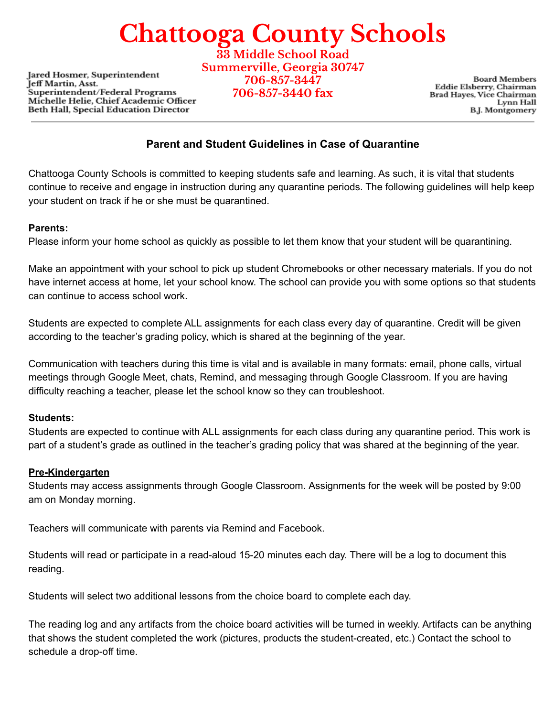## **Chattooga County Schools**

**Jared Hosmer, Superintendent** Jeff Martin, Asst. Superintendent/Federal Programs Michelle Helie, Chief Academic Officer Beth Hall, Special Education Director

**33 Middle School Road Summerville, Georgia 30747 706-857-3447 706-857-3440 fax**

**Board Members** Eddie Elsberry, Chairman Brad Hayes, Vice Chairman Lynn Hall **B.J.** Montgomery

### **Parent and Student Guidelines in Case of Quarantine**

Chattooga County Schools is committed to keeping students safe and learning. As such, it is vital that students continue to receive and engage in instruction during any quarantine periods. The following guidelines will help keep your student on track if he or she must be quarantined.

#### **Parents:**

Please inform your home school as quickly as possible to let them know that your student will be quarantining.

Make an appointment with your school to pick up student Chromebooks or other necessary materials. If you do not have internet access at home, let your school know. The school can provide you with some options so that students can continue to access school work.

Students are expected to complete ALL assignments for each class every day of quarantine. Credit will be given according to the teacher's grading policy, which is shared at the beginning of the year.

Communication with teachers during this time is vital and is available in many formats: email, phone calls, virtual meetings through Google Meet, chats, Remind, and messaging through Google Classroom. If you are having difficulty reaching a teacher, please let the school know so they can troubleshoot.

#### **Students:**

Students are expected to continue with ALL assignments for each class during any quarantine period. This work is part of a student's grade as outlined in the teacher's grading policy that was shared at the beginning of the year.

#### **Pre-Kindergarten**

Students may access assignments through Google Classroom. Assignments for the week will be posted by 9:00 am on Monday morning.

Teachers will communicate with parents via Remind and Facebook.

Students will read or participate in a read-aloud 15-20 minutes each day. There will be a log to document this reading.

Students will select two additional lessons from the choice board to complete each day.

The reading log and any artifacts from the choice board activities will be turned in weekly. Artifacts can be anything that shows the student completed the work (pictures, products the student-created, etc.) Contact the school to schedule a drop-off time.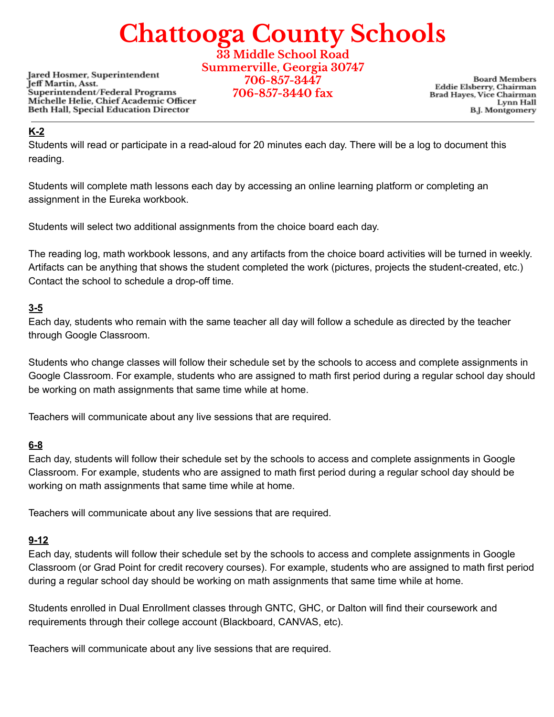# **Chattooga County Schools**

**Jared Hosmer, Superintendent** Jeff Martin, Asst. Superintendent/Federal Programs Michelle Helie, Chief Academic Officer Beth Hall, Special Education Director

**33 Middle School Road Summerville, Georgia 30747 706-857-3447 706-857-3440 fax**

**Board Members** Eddie Elsberry, Chairman Brad Hayes, Vice Chairman Lynn Hall **B.J. Montgomery** 

#### **K-2**

Students will read or participate in a read-aloud for 20 minutes each day. There will be a log to document this reading.

Students will complete math lessons each day by accessing an online learning platform or completing an assignment in the Eureka workbook.

Students will select two additional assignments from the choice board each day.

The reading log, math workbook lessons, and any artifacts from the choice board activities will be turned in weekly. Artifacts can be anything that shows the student completed the work (pictures, projects the student-created, etc.) Contact the school to schedule a drop-off time.

## **3-5**

Each day, students who remain with the same teacher all day will follow a schedule as directed by the teacher through Google Classroom.

Students who change classes will follow their schedule set by the schools to access and complete assignments in Google Classroom. For example, students who are assigned to math first period during a regular school day should be working on math assignments that same time while at home.

Teachers will communicate about any live sessions that are required.

### **6-8**

Each day, students will follow their schedule set by the schools to access and complete assignments in Google Classroom. For example, students who are assigned to math first period during a regular school day should be working on math assignments that same time while at home.

Teachers will communicate about any live sessions that are required.

### **9-12**

Each day, students will follow their schedule set by the schools to access and complete assignments in Google Classroom (or Grad Point for credit recovery courses). For example, students who are assigned to math first period during a regular school day should be working on math assignments that same time while at home.

Students enrolled in Dual Enrollment classes through GNTC, GHC, or Dalton will find their coursework and requirements through their college account (Blackboard, CANVAS, etc).

Teachers will communicate about any live sessions that are required.